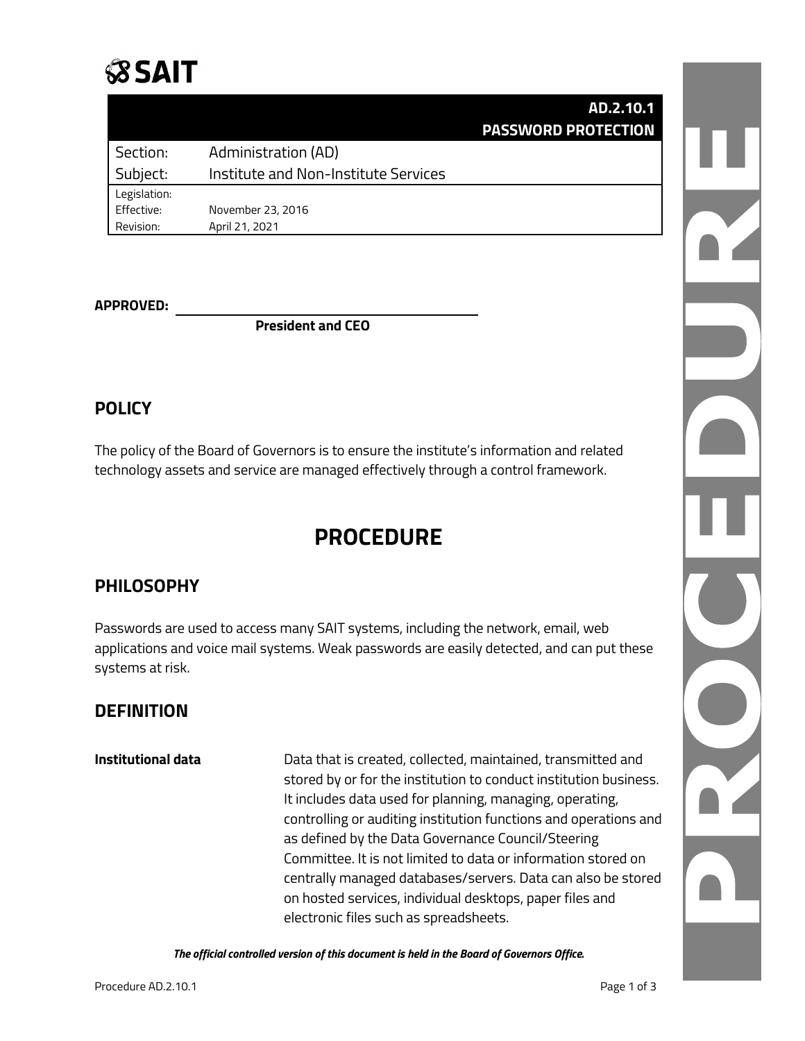# **SSAIT**

|              |                                      | AD.2.10.1                  |  |
|--------------|--------------------------------------|----------------------------|--|
|              |                                      | <b>PASSWORD PROTECTION</b> |  |
| Section:     | <b>Administration (AD)</b>           |                            |  |
| Subject:     | Institute and Non-Institute Services |                            |  |
| Legislation: |                                      |                            |  |
| Effective:   | November 23, 2016                    |                            |  |
| Revision:    | April 21, 2021                       |                            |  |
|              |                                      |                            |  |

#### **APPROVED:**

**President and CEO**

#### **POLICY**

The policy of the Board of Governors is to ensure the institute's information and related technology assets and service are managed effectively through a control framework.

## **PROCEDURE**

#### **PHILOSOPHY**

Passwords are used to access many SAIT systems, including the network, email, web applications and voice mail systems. Weak passwords are easily detected, and can put these systems at risk.

#### **DEFINITION**

**Institutional data** Data that is created, collected, maintained, transmitted and stored by or for the institution to conduct institution business. It includes data used for planning, managing, operating, controlling or auditing institution functions and operations and as defined by the Data Governance Council/Steering Committee. It is not limited to data or information stored on centrally managed databases/servers. Data can also be stored on hosted services, individual desktops, paper files and electronic files such as spreadsheets.

*The official controlled version of this document is held in the Board of Governors Office.*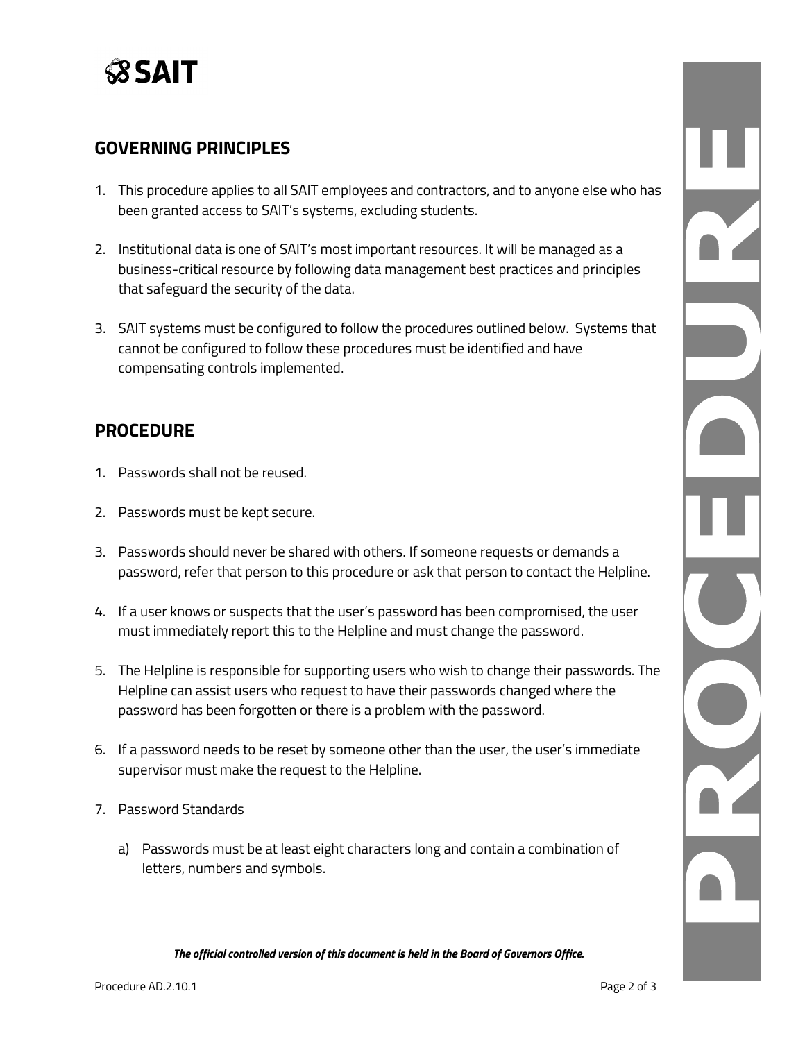

#### **GOVERNING PRINCIPLES**

- 1. This procedure applies to all SAIT employees and contractors, and to anyone else who has been granted access to SAIT's systems, excluding students.
- 2. Institutional data is one of SAIT's most important resources. It will be managed as a business-critical resource by following data management best practices and principles that safeguard the security of the data.
- 3. SAIT systems must be configured to follow the procedures outlined below. Systems that cannot be configured to follow these procedures must be identified and have compensating controls implemented.

#### **PROCEDURE**

- 1. Passwords shall not be reused.
- 2. Passwords must be kept secure.
- 3. Passwords should never be shared with others. If someone requests or demands a password, refer that person to this procedure or ask that person to contact the Helpline.
- 4. If a user knows or suspects that the user's password has been compromised, the user must immediately report this to the Helpline and must change the password.
- 5. The Helpline is responsible for supporting users who wish to change their passwords. The Helpline can assist users who request to have their passwords changed where the password has been forgotten or there is a problem with the password.
- 6. If a password needs to be reset by someone other than the user, the user's immediate supervisor must make the request to the Helpline.
- 7. Password Standards
	- a) Passwords must be at least eight characters long and contain a combination of letters, numbers and symbols.

*The official controlled version of this document is held in the Board of Governors Office.*